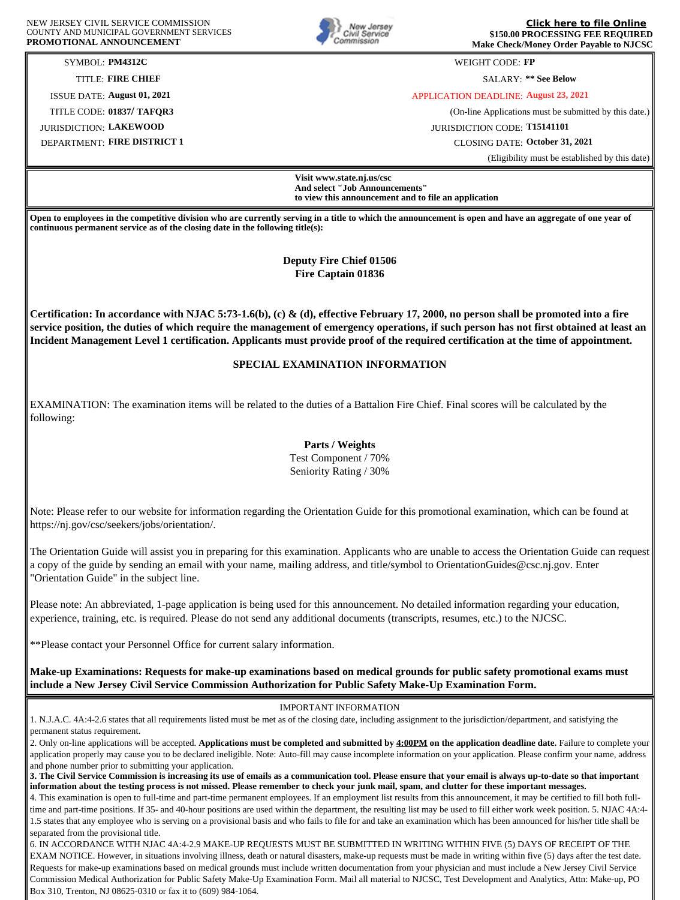

**[Click here to file Online](https://info.csc.state.nj.us/OAS/Applicant_Login.aspx?Symbol=PM4312C&Form_ID=PFL) \$150.00 PROCESSING FEE REQUIRED Make Check/Money Order Payable to NJCSC**

SYMBOL: **PM4312C** WEIGHT CODE: **FP**

TITLE: **FIRE CHIEF** SALARY: **\*\* See Below**

ISSUE DATE: **August 01, 2021** APPLICATION DEADLINE: **August 23, 2021**

TITLE CODE: **01837/ TAFQR3** (On-line Applications must be submitted by this date.)

JURISDICTION: **LAKEWOOD** JURISDICTION CODE: **T15141101** DEPARTMENT: **FIRE DISTRICT 1** CLOSING DATE: **October 31, 2021**

(Eligibility must be established by this date)

**Visit www.state.nj.us/csc And select "Job Announcements" to view this announcement and to file an application**

**Open to employees in the competitive division who are currently serving in a title to which the announcement is open and have an aggregate of one year of continuous permanent service as of the closing date in the following title(s):**

> **Deputy Fire Chief 01506 Fire Captain 01836**

**Certification: In accordance with NJAC 5:73-1.6(b), (c) & (d), effective February 17, 2000, no person shall be promoted into a fire service position, the duties of which require the management of emergency operations, if such person has not first obtained at least an Incident Management Level 1 certification. Applicants must provide proof of the required certification at the time of appointment.**

## **SPECIAL EXAMINATION INFORMATION**

EXAMINATION: The examination items will be related to the duties of a Battalion Fire Chief. Final scores will be calculated by the following:

> **Parts / Weights** Test Component / 70% Seniority Rating / 30%

Note: Please refer to our website for information regarding the Orientation Guide for this promotional examination, which can be found at https://nj.gov/csc/seekers/jobs/orientation/.

The Orientation Guide will assist you in preparing for this examination. Applicants who are unable to access the Orientation Guide can request a copy of the guide by sending an email with your name, mailing address, and title/symbol to OrientationGuides@csc.nj.gov. Enter "Orientation Guide" in the subject line.

Please note: An abbreviated, 1-page application is being used for this announcement. No detailed information regarding your education, experience, training, etc. is required. Please do not send any additional documents (transcripts, resumes, etc.) to the NJCSC.

\*\*Please contact your Personnel Office for current salary information.

**Make-up Examinations: Requests for make-up examinations based on medical grounds for public safety promotional exams must include a New Jersey Civil Service Commission Authorization for Public Safety Make-Up Examination Form.**

IMPORTANT INFORMATION

1. N.J.A.C. 4A:4-2.6 states that all requirements listed must be met as of the closing date, including assignment to the jurisdiction/department, and satisfying the permanent status requirement.

**3. The Civil Service Commission is increasing its use of emails as a communication tool. Please ensure that your email is always up-to-date so that important information about the testing process is not missed. Please remember to check your junk mail, spam, and clutter for these important messages.**

4. This examination is open to full-time and part-time permanent employees. If an employment list results from this announcement, it may be certified to fill both fulltime and part-time positions. If 35- and 40-hour positions are used within the department, the resulting list may be used to fill either work week position. 5. NJAC 4A:4- 1.5 states that any employee who is serving on a provisional basis and who fails to file for and take an examination which has been announced for his/her title shall be separated from the provisional title.

6. IN ACCORDANCE WITH NJAC 4A:4-2.9 MAKE-UP REQUESTS MUST BE SUBMITTED IN WRITING WITHIN FIVE (5) DAYS OF RECEIPT OF THE EXAM NOTICE. However, in situations involving illness, death or natural disasters, make-up requests must be made in writing within five (5) days after the test date. Requests for make-up examinations based on medical grounds must include written documentation from your physician and must include a New Jersey Civil Service Commission Medical Authorization for Public Safety Make-Up Examination Form. Mail all material to NJCSC, Test Development and Analytics, Attn: Make-up, PO Box 310, Trenton, NJ 08625-0310 or fax it to (609) 984-1064.

<sup>2.</sup> Only on-line applications will be accepted. **Applications must be completed and submitted by 4:00PM on the application deadline date.** Failure to complete your application properly may cause you to be declared ineligible. Note: Auto-fill may cause incomplete information on your application. Please confirm your name, address and phone number prior to submitting your application.